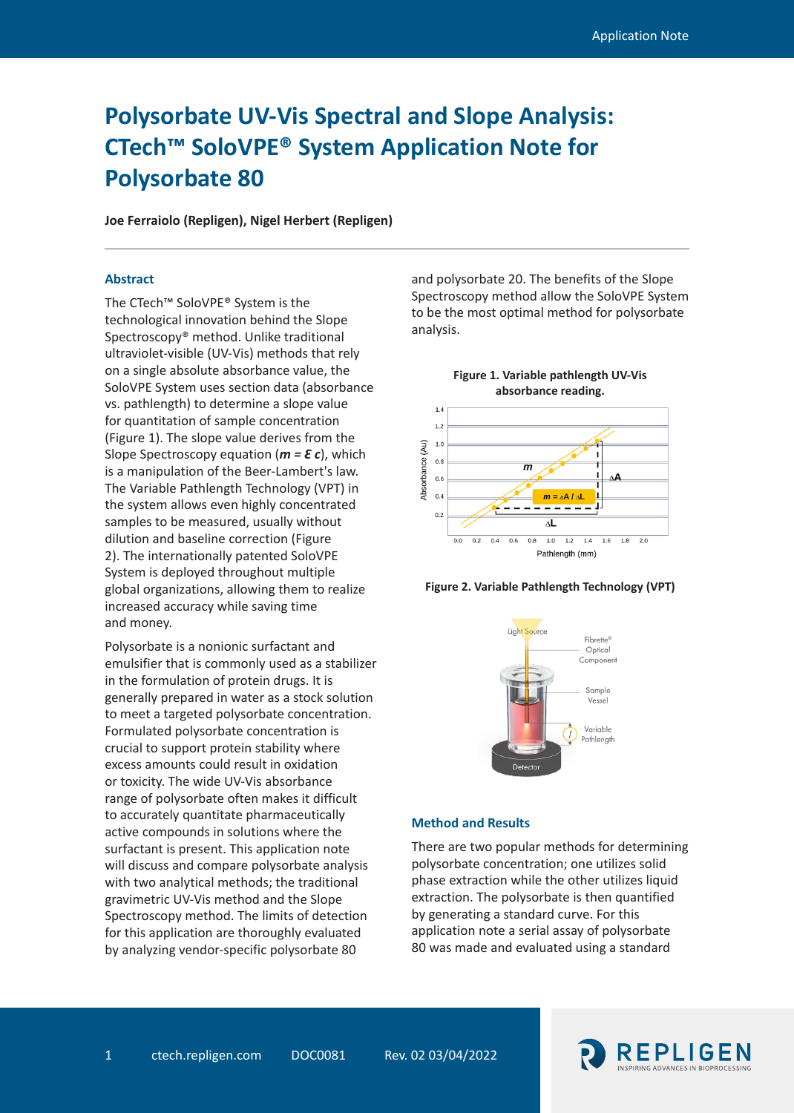# **Polysorbate UV-Vis Spectral and Slope Analysis: CTech™ SoloVPE® System Application Note for Polysorbate 80**

**Joe Ferraiolo (Repligen), Nigel Herbert (Repligen)**

# **Abstract**

The CTech™ SoloVPE® System is the technological innovation behind the Slope Spectroscopy® method. Unlike traditional ultraviolet-visible (UV-Vis) methods that rely on a single absolute absorbance value, the SoloVPE System uses section data (absorbance vs. pathlength) to determine a slope value for quantitation of sample concentration (Figure 1). The slope value derives from the Slope Spectroscopy equation (*m = Ɛ c*), which is a manipulation of the Beer-Lambert's law. The Variable Pathlength Technology (VPT) in the system allows even highly concentrated samples to be measured, usually without dilution and baseline correction (Figure 2). The internationally patented SoloVPE System is deployed throughout multiple global organizations, allowing them to realize increased accuracy while saving time and money.

Polysorbate is a nonionic surfactant and emulsifier that is commonly used as a stabilizer in the formulation of protein drugs. It is generally prepared in water as a stock solution to meet a targeted polysorbate concentration. Formulated polysorbate concentration is crucial to support protein stability where excess amounts could result in oxidation or toxicity. The wide UV-Vis absorbance range of polysorbate often makes it difficult to accurately quantitate pharmaceutically active compounds in solutions where the surfactant is present. This application note will discuss and compare polysorbate analysis with two analytical methods; the traditional gravimetric UV-Vis method and the Slope Spectroscopy method. The limits of detection for this application are thoroughly evaluated by analyzing vendor-specific polysorbate 80

and polysorbate 20. The benefits of the Slope Spectroscopy method allow the SoloVPE System to be the most optimal method for polysorbate analysis.







### **Method and Results**

There are two popular methods for determining polysorbate concentration; one utilizes solid phase extraction while the other utilizes liquid extraction. The polysorbate is then quantified by generating a standard curve. For this application note a serial assay of polysorbate 80 was made and evaluated using a standard

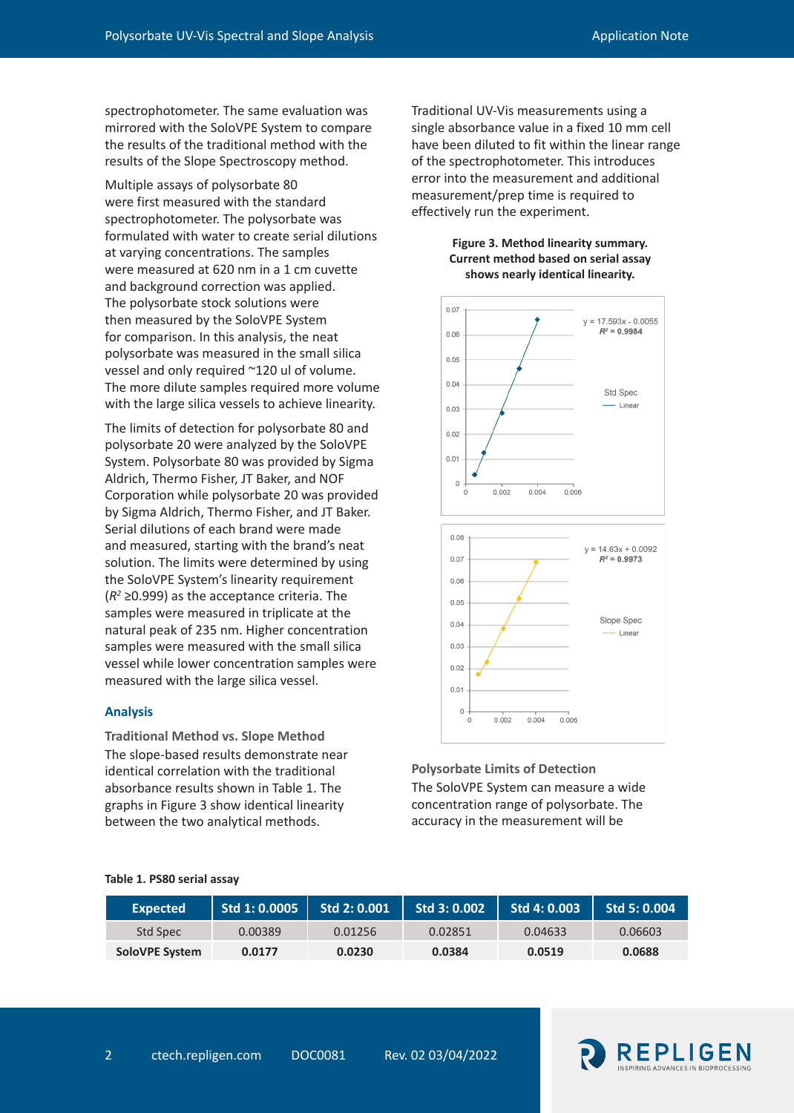spectrophotometer. The same evaluation was mirrored with the SoloVPE System to compare the results of the traditional method with the results of the Slope Spectroscopy method.

Multiple assays of polysorbate 80 were first measured with the standard spectrophotometer. The polysorbate was formulated with water to create serial dilutions at varying concentrations. The samples were measured at 620 nm in a 1 cm cuvette and background correction was applied. The polysorbate stock solutions were then measured by the SoloVPE System for comparison. In this analysis, the neat polysorbate was measured in the small silica vessel and only required ~120 ul of volume. The more dilute samples required more volume with the large silica vessels to achieve linearity.

The limits of detection for polysorbate 80 and polysorbate 20 were analyzed by the SoloVPE System. Polysorbate 80 was provided by Sigma Aldrich, Thermo Fisher, JT Baker, and NOF Corporation while polysorbate 20 was provided by Sigma Aldrich, Thermo Fisher, and JT Baker. Serial dilutions of each brand were made and measured, starting with the brand's neat solution. The limits were determined by using the SoloVPE System's linearity requirement (*R2* ≥0.999) as the acceptance criteria. The samples were measured in triplicate at the natural peak of 235 nm. Higher concentration samples were measured with the small silica vessel while lower concentration samples were measured with the large silica vessel.

## **Analysis**

**Traditional Method vs. Slope Method** The slope-based results demonstrate near identical correlation with the traditional absorbance results shown in Table 1. The graphs in Figure 3 show identical linearity between the two analytical methods.

Traditional UV-Vis measurements using a single absorbance value in a fixed 10 mm cell have been diluted to fit within the linear range of the spectrophotometer. This introduces error into the measurement and additional measurement/prep time is required to effectively run the experiment.

# **Figure 3. Method linearity summary. Current method based on serial assay shows nearly identical linearity.**



**Polysorbate Limits of Detection** The SoloVPE System can measure a wide concentration range of polysorbate. The accuracy in the measurement will be

| Expected       | Std 1: 0.0005 | Std 2: 0.001 | Std 3: 0.002 | Std 4: 0.003 | Std 5: 0.004 |
|----------------|---------------|--------------|--------------|--------------|--------------|
| Std Spec       | 0.00389       | 0.01256      | 0.02851      | 0.04633      | 0.06603      |
| SoloVPE System | 0.0177        | 0.0230       | 0.0384       | 0.0519       | 0.0688       |

## **Table 1. PS80 serial assay**

## 2 ctech.repligen.com DOC0081 Rev. 02 03/04/2022

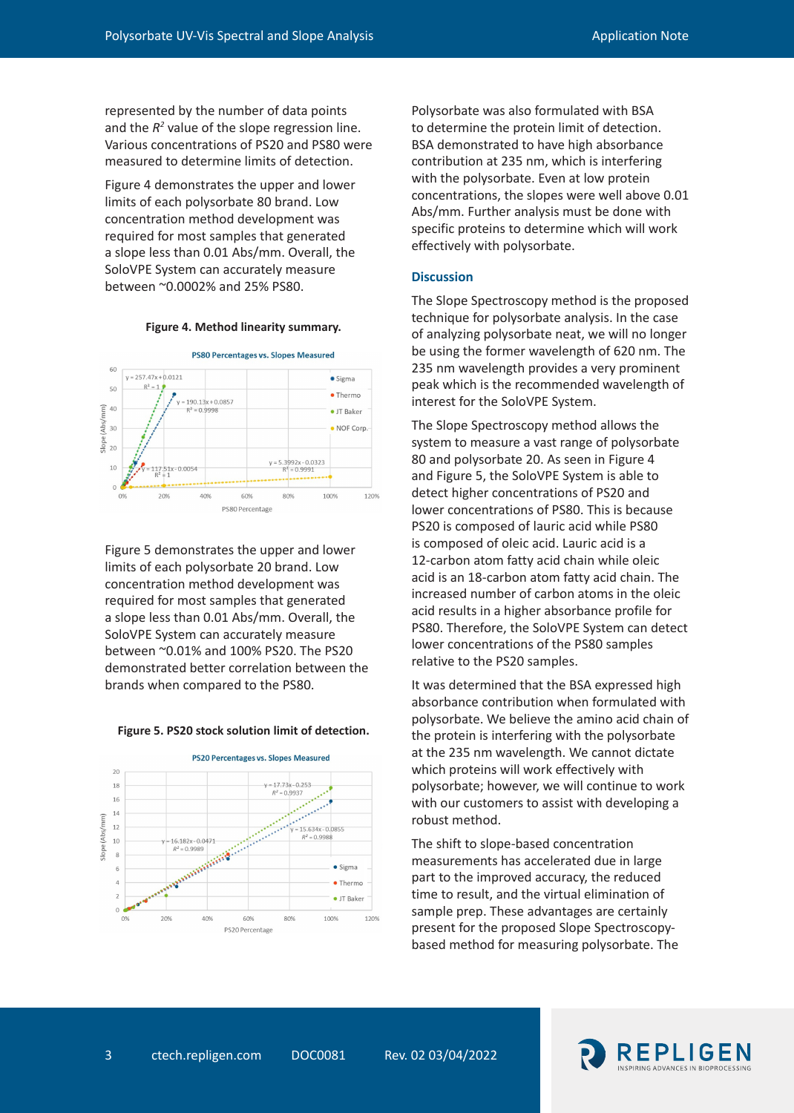represented by the number of data points and the  $R^2$  value of the slope regression line. Various concentrations of PS20 and PS80 were measured to determine limits of detection.

Figure 4 demonstrates the upper and lower limits of each polysorbate 80 brand. Low concentration method development was required for most samples that generated a slope less than 0.01 Abs/mm. Overall, the SoloVPE System can accurately measure between ~0.0002% and 25% PS80.

#### **Figure 4. Method linearity summary.**



Figure 5 demonstrates the upper and lower limits of each polysorbate 20 brand. Low concentration method development was required for most samples that generated a slope less than 0.01 Abs/mm. Overall, the SoloVPE System can accurately measure between ~0.01% and 100% PS20. The PS20 demonstrated better correlation between the brands when compared to the PS80.

#### **Figure 5. PS20 stock solution limit of detection.**



Polysorbate was also formulated with BSA to determine the protein limit of detection. BSA demonstrated to have high absorbance contribution at 235 nm, which is interfering with the polysorbate. Even at low protein concentrations, the slopes were well above 0.01 Abs/mm. Further analysis must be done with specific proteins to determine which will work effectively with polysorbate.

#### **Discussion**

The Slope Spectroscopy method is the proposed technique for polysorbate analysis. In the case of analyzing polysorbate neat, we will no longer be using the former wavelength of 620 nm. The 235 nm wavelength provides a very prominent peak which is the recommended wavelength of interest for the SoloVPE System.

The Slope Spectroscopy method allows the system to measure a vast range of polysorbate 80 and polysorbate 20. As seen in Figure 4 and Figure 5, the SoloVPE System is able to detect higher concentrations of PS20 and lower concentrations of PS80. This is because PS20 is composed of lauric acid while PS80 is composed of oleic acid. Lauric acid is a 12-carbon atom fatty acid chain while oleic acid is an 18-carbon atom fatty acid chain. The increased number of carbon atoms in the oleic acid results in a higher absorbance profile for PS80. Therefore, the SoloVPE System can detect lower concentrations of the PS80 samples relative to the PS20 samples.

It was determined that the BSA expressed high absorbance contribution when formulated with polysorbate. We believe the amino acid chain of the protein is interfering with the polysorbate at the 235 nm wavelength. We cannot dictate which proteins will work effectively with polysorbate; however, we will continue to work with our customers to assist with developing a robust method.

The shift to slope-based concentration measurements has accelerated due in large part to the improved accuracy, the reduced time to result, and the virtual elimination of sample prep. These advantages are certainly present for the proposed Slope Spectroscopybased method for measuring polysorbate. The